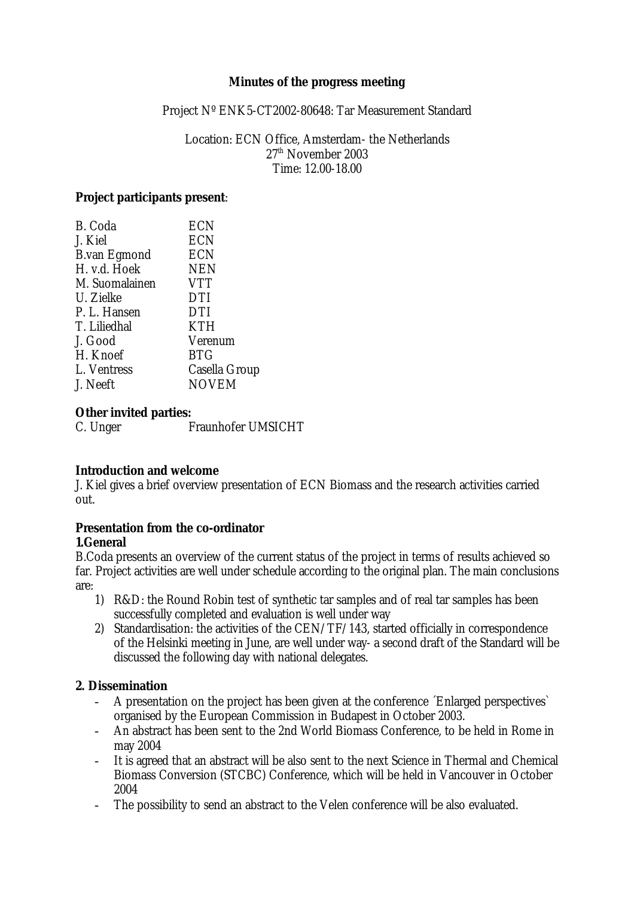#### **Minutes of the progress meeting**

Project Nº ENK5-CT2002-80648: Tar Measurement Standard

Location: ECN Office, Amsterdam- the Netherlands  $27<sup>th</sup>$  November 2003 Time: 12.00-18.00

#### **Project participants present**:

| B. Coda             | <b>ECN</b>    |
|---------------------|---------------|
| J. Kiel             | <b>ECN</b>    |
| <b>B.van Egmond</b> | <b>ECN</b>    |
| H. v.d. Hoek        | <b>NEN</b>    |
| M. Suomalainen      | <b>VTT</b>    |
| U. Zielke           | <b>DTI</b>    |
| P. L. Hansen        | <b>DTI</b>    |
| T. Liliedhal        | <b>KTH</b>    |
| J. Good             | Verenum       |
| H. Knoef            | <b>BTG</b>    |
| L. Ventress         | Casella Group |
| J. Neeft            | <b>NOVEM</b>  |
|                     |               |

# **Other invited parties:**<br>C. Unger

Fraunhofer UMSICHT

#### **Introduction and welcome**

J. Kiel gives a brief overview presentation of ECN Biomass and the research activities carried out.

#### **Presentation from the co-ordinator 1.General**

B.Coda presents an overview of the current status of the project in terms of results achieved so far. Project activities are well under schedule according to the original plan. The main conclusions are:

- 1) R&D: the Round Robin test of synthetic tar samples and of real tar samples has been successfully completed and evaluation is well under way
- 2) Standardisation: the activities of the CEN/TF/143, started officially in correspondence of the Helsinki meeting in June, are well under way- a second draft of the Standard will be discussed the following day with national delegates.

#### **2. Dissemination**

- A presentation on the project has been given at the conference *Enlarged perspectives* organised by the European Commission in Budapest in October 2003.
- An abstract has been sent to the 2nd World Biomass Conference, to be held in Rome in may 2004
- It is agreed that an abstract will be also sent to the next Science in Thermal and Chemical Biomass Conversion (STCBC) Conference, which will be held in Vancouver in October 2004
- The possibility to send an abstract to the Velen conference will be also evaluated.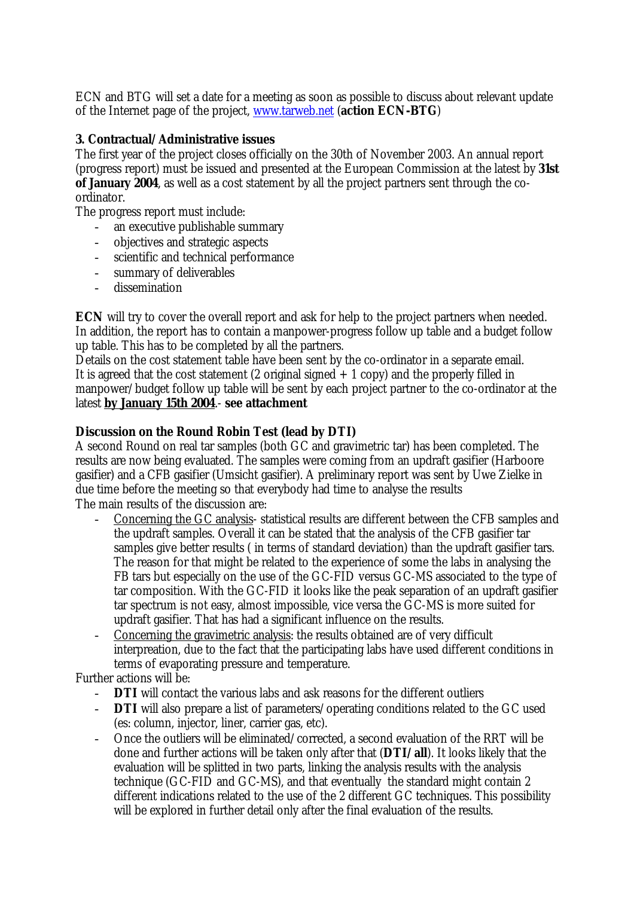ECN and BTG will set a date for a meeting as soon as possible to discuss about relevant update of the Internet page of the project, www.tarweb.net (**action ECN-BTG**)

## **3. Contractual/Administrative issues**

The first year of the project closes officially on the 30th of November 2003. An annual report (progress report) must be issued and presented at the European Commission at the latest by **31st of January 2004**, as well as a cost statement by all the project partners sent through the coordinator.

The progress report must include:

- an executive publishable summary
- objectives and strategic aspects
- scientific and technical performance
- summary of deliverables
- dissemination

**ECN** will try to cover the overall report and ask for help to the project partners when needed. In addition, the report has to contain a manpower-progress follow up table and a budget follow up table. This has to be completed by all the partners.

Details on the cost statement table have been sent by the co-ordinator in a separate email. It is agreed that the cost statement (2 original signed  $+1$  copy) and the properly filled in manpower/budget follow up table will be sent by each project partner to the co-ordinator at the latest **by January 15th 2004**.- **see attachment**

## **Discussion on the Round Robin Test (lead by DTI)**

A second Round on real tar samples (both GC and gravimetric tar) has been completed. The results are now being evaluated. The samples were coming from an updraft gasifier (Harboore gasifier) and a CFB gasifier (Umsicht gasifier). A preliminary report was sent by Uwe Zielke in due time before the meeting so that everybody had time to analyse the results The main results of the discussion are:

- Concerning the GC analysis- statistical results are different between the CFB samples and the updraft samples. Overall it can be stated that the analysis of the CFB gasifier tar samples give better results ( in terms of standard deviation) than the updraft gasifier tars. The reason for that might be related to the experience of some the labs in analysing the FB tars but especially on the use of the GC-FID versus GC-MS associated to the type of tar composition. With the GC-FID it looks like the peak separation of an updraft gasifier tar spectrum is not easy, almost impossible, vice versa the GC-MS is more suited for updraft gasifier. That has had a significant influence on the results.
- Concerning the gravimetric analysis: the results obtained are of very difficult interpreation, due to the fact that the participating labs have used different conditions in terms of evaporating pressure and temperature.

Further actions will be:

- **DTI** will contact the various labs and ask reasons for the different outliers
- **DTI** will also prepare a list of parameters/operating conditions related to the GC used (es: column, injector, liner, carrier gas, etc).
- Once the outliers will be eliminated/corrected, a second evaluation of the RRT will be done and further actions will be taken only after that (**DTI/all**). It looks likely that the evaluation will be splitted in two parts, linking the analysis results with the analysis technique (GC-FID and GC-MS), and that eventually the standard might contain 2 different indications related to the use of the 2 different GC techniques. This possibility will be explored in further detail only after the final evaluation of the results.